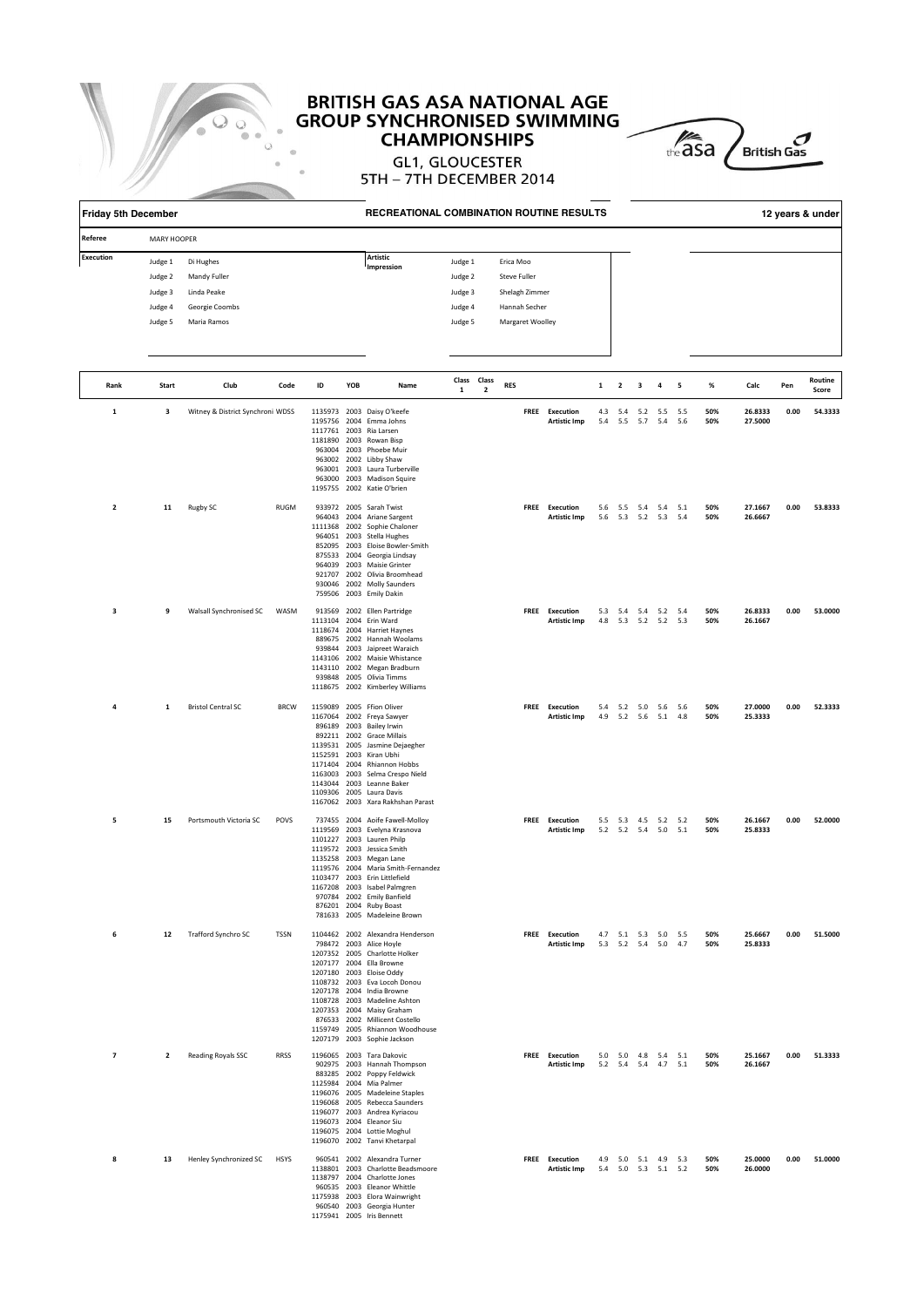

# **BRITISH GAS ASA NATIONAL AGE<br>GROUP SYNCHRONISED SWIMMING CHAMPIONSHIPS**



| <b>Friday 5th December</b><br>Referee<br><b>MARY HOOPER</b> |                                                                                                                                  |                                  |             |    |     | RECREATIONAL COMBINATION ROUTINE RESULTS                                                                                                                                                                                                                                                                                                                                           |                                                     |                                        |            |                                                                                  |                                       |            |                         |                        |                                            |            |            |                    |      | 12 years & under |
|-------------------------------------------------------------|----------------------------------------------------------------------------------------------------------------------------------|----------------------------------|-------------|----|-----|------------------------------------------------------------------------------------------------------------------------------------------------------------------------------------------------------------------------------------------------------------------------------------------------------------------------------------------------------------------------------------|-----------------------------------------------------|----------------------------------------|------------|----------------------------------------------------------------------------------|---------------------------------------|------------|-------------------------|------------------------|--------------------------------------------|------------|------------|--------------------|------|------------------|
|                                                             |                                                                                                                                  |                                  |             |    |     |                                                                                                                                                                                                                                                                                                                                                                                    |                                                     |                                        |            |                                                                                  |                                       |            |                         |                        |                                            |            |            |                    |      |                  |
| <b>Execution</b>                                            | Di Hughes<br>Judge 1<br>Judge 2<br>Mandy Fuller<br>Linda Peake<br>Judge 3<br>Judge 4<br>Georgie Coombs<br>Judge 5<br>Maria Ramos |                                  |             |    |     | Artistic<br>Impression                                                                                                                                                                                                                                                                                                                                                             | Judge 1<br>Judge 2<br>Judge 3<br>Judge 4<br>Judge 5 |                                        |            | Erica Moo<br>Steve Fuller<br>Shelagh Zimmer<br>Hannah Secher<br>Margaret Woolley |                                       |            |                         |                        |                                            |            |            |                    |      |                  |
| Rank                                                        | Start                                                                                                                            | Club                             | Code        | ID | YOB | Name                                                                                                                                                                                                                                                                                                                                                                               |                                                     | Class Class<br>$\overline{\mathbf{2}}$ | <b>RES</b> |                                                                                  |                                       | 1          | $\overline{\mathbf{2}}$ | 3                      | 4                                          | 5          | %          | Calc               | Pen  | Routine          |
| $\mathbf 1$                                                 | 3                                                                                                                                | Witney & District Synchroni WDSS |             |    |     | 1135973 2003 Daisy O'keefe<br>1195756 2004 Emma Johns<br>1117761 2003 Ria Larsen<br>1181890 2003 Rowan Bisp<br>963004 2003 Phoebe Muir<br>963002 2002 Libby Shaw<br>963001 2003 Laura Turberville<br>963000 2003 Madison Squire<br>1195755 2002 Katie O'brien                                                                                                                      | $\mathbf{1}$                                        |                                        |            |                                                                                  | FREE Execution<br><b>Artistic Imp</b> | 4.3<br>5.4 |                         | 5.4 5.2 5.5<br>5.5 5.7 | 5.4                                        | 5.5<br>5.6 | 50%<br>50% | 26.8333<br>27.5000 | 0.00 | Score<br>54.3333 |
| $\overline{\mathbf{2}}$                                     | 11                                                                                                                               | Rugby SC                         | <b>RUGM</b> |    |     | 933972 2005 Sarah Twist<br>964043 2004 Ariane Sargent<br>1111368 2002 Sophie Chaloner<br>964051 2003 Stella Hughes<br>852095 2003 Eloise Bowler-Smith<br>875533 2004 Georgia Lindsay<br>964039 2003 Maisie Grinter<br>921707 2002 Olivia Broomhead<br>930046 2002 Molly Saunders<br>759506 2003 Emily Dakin                                                                        |                                                     |                                        |            |                                                                                  | FREE Execution<br><b>Artistic Imp</b> |            |                         |                        | 5.6 5.5 5.4 5.4 5.1<br>5.6 5.3 5.2 5.3 5.4 |            | 50%<br>50% | 27.1667<br>26.6667 | 0.00 | 53.8333          |
| 3                                                           | 9                                                                                                                                | Walsall Synchronised SC WASM     |             |    |     | 913569 2002 Ellen Partridge<br>1113104 2004 Erin Ward<br>1118674 2004 Harriet Haynes<br>889675 2002 Hannah Woolams<br>939844 2003 Jaipreet Waraich<br>1143106 2002 Maisie Whistance<br>1143110 2002 Megan Bradburn<br>939848 2005 Olivia Timms<br>1118675 2002 Kimberley Williams                                                                                                  |                                                     |                                        |            |                                                                                  | FREE Execution<br><b>Artistic Imp</b> |            |                         |                        | 5.3 5.4 5.4 5.2 5.4<br>4.8 5.3 5.2 5.2 5.3 |            | 50%<br>50% | 26.8333<br>26.1667 | 0.00 | 53.0000          |
| 4                                                           | 1                                                                                                                                | <b>Bristol Central SC</b>        | <b>BRCW</b> |    |     | 1159089 2005 Ffion Oliver<br>1167064 2002 Freya Sawyer<br>896189 2003 Bailey Irwin<br>892211 2002 Grace Millais<br>1139531 2005 Jasmine Dejaegher<br>1152591 2003 Kiran Ubhi<br>1171404 2004 Rhiannon Hobbs<br>1163003 2003 Selma Crespo Nield<br>1143044 2003 Leanne Baker<br>1109306 2005 Laura Davis<br>1167062 2003 Xara Rakhshan Parast                                       |                                                     |                                        |            |                                                                                  | FREE Execution<br><b>Artistic Imp</b> |            |                         |                        | 5.4 5.2 5.0 5.6 5.6<br>4.9 5.2 5.6 5.1 4.8 |            | 50%<br>50% | 27.0000<br>25.3333 | 0.00 | 52.3333          |
| 5                                                           | 15                                                                                                                               | Portsmouth Victoria SC           | POVS        |    |     | 737455 2004 Aoife Fawell-Molloy<br>1119569 2003 Evelyna Krasnova<br>1101227 2003 Lauren Philp<br>1119572 2003 Jessica Smith<br>1135258 2003 Megan Lane<br>1119576 2004 Maria Smith-Fernandez<br>1103477 2003 Erin Littlefield<br>1167208 2003 Isabel Palmgren<br>970784 2002 Emily Banfield<br>876201 2004 Ruby Boast<br>781633 2005 Madeleine Brown                               |                                                     |                                        |            |                                                                                  | FREE Execution<br><b>Artistic Imp</b> |            |                         |                        | 5.5 5.3 4.5 5.2 5.2<br>5.2 5.2 5.4 5.0 5.1 |            | 50%<br>50% | 26.1667<br>25.8333 | 0.00 | 52.0000          |
| 6                                                           | 12                                                                                                                               | Trafford Synchro SC              | TSSN        |    |     | 1104462 2002 Alexandra Henderson<br>798472 2003 Alice Hoyle<br>1207352 2005 Charlotte Holker<br>1207177 2004 Ella Browne<br>1207180 2003 Eloise Oddy<br>1108732 2003 Eva Locoh Donou<br>1207178 2004 India Browne<br>1108728 2003 Madeline Ashton<br>1207353 2004 Maisy Graham<br>876533 2002 Millicent Costello<br>1159749 2005 Rhiannon Woodhouse<br>1207179 2003 Sophie Jackson |                                                     |                                        |            |                                                                                  | FREE Execution<br><b>Artistic Imp</b> |            |                         |                        | 4.7 5.1 5.3 5.0 5.5<br>5.3 5.2 5.4 5.0 4.7 |            | 50%<br>50% | 25.6667<br>25.8333 | 0.00 | 51.5000          |
| $\overline{7}$                                              | $\overline{2}$                                                                                                                   | Reading Royals SSC               | <b>RRSS</b> |    |     | 1196065 2003 Tara Dakovic<br>902975 2003 Hannah Thompson<br>883285 2002 Poppy Feldwick<br>1125984 2004 Mia Palmer<br>1196076 2005 Madeleine Staples<br>1196068 2005 Rebecca Saunders<br>1196077 2003 Andrea Kyriacou<br>1196073 2004 Eleanor Siu<br>1196075 2004 Lottie Moghul<br>1196070 2002 Tanvi Khetarpal                                                                     |                                                     |                                        |            |                                                                                  | FREE Execution<br><b>Artistic Imp</b> |            |                         |                        | 5.0 5.0 4.8 5.4 5.1<br>5.2 5.4 5.4 4.7 5.1 |            | 50%<br>50% | 25.1667<br>26.1667 | 0.00 | 51.3333          |
| 8                                                           | 13                                                                                                                               | Henley Synchronized SC           | <b>HSYS</b> |    |     | 960541 2002 Alexandra Turner<br>1138801 2003 Charlotte Beadsmoore<br>1138797 2004 Charlotte Jones<br>960535 2003 Eleanor Whittle<br>1175938 2003 Elora Wainwright<br>960540 2003 Georgia Hunter<br>1175941 2005 Iris Bennett                                                                                                                                                       |                                                     |                                        |            |                                                                                  | FREE Execution<br><b>Artistic Imp</b> |            |                         |                        | 4.9 5.0 5.1 4.9 5.3<br>5.4 5.0 5.3 5.1 5.2 |            | 50%<br>50% | 25.0000<br>26.0000 | 0.00 | 51.0000          |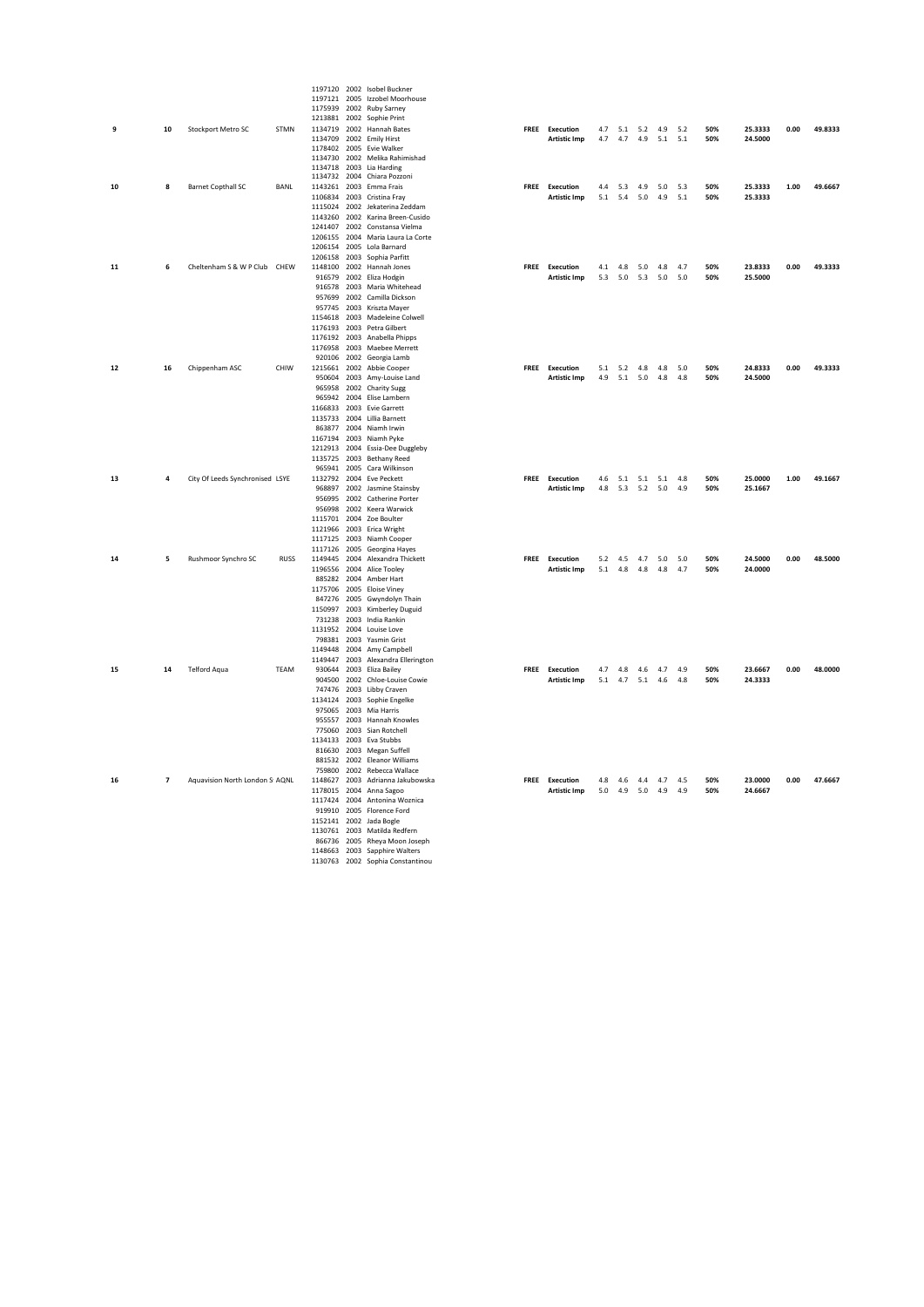|            |                |                                             |             |  | 1197120 2002 Isobel Buckner                                  |                       |                 |                         |     |     |         |      |         |
|------------|----------------|---------------------------------------------|-------------|--|--------------------------------------------------------------|-----------------------|-----------------|-------------------------|-----|-----|---------|------|---------|
|            |                |                                             |             |  | 1197121 2005 Izzobel Moorhouse                               |                       |                 |                         |     |     |         |      |         |
|            |                |                                             |             |  | 1175939 2002 Ruby Sarney                                     |                       |                 |                         |     |     |         |      |         |
|            |                |                                             |             |  | 1213881 2002 Sophie Print                                    |                       |                 |                         |     |     |         |      |         |
| 9          | 10             | Stockport Metro SC                          | STMN        |  | 1134719 2002 Hannah Bates                                    | FREE Execution        |                 | 4.7 5.1 5.2 4.9 5.2     |     | 50% | 25.3333 | 0.00 | 49.8333 |
|            |                |                                             |             |  | 1134709 2002 Emily Hirst                                     | Artistic Imp          |                 | 4.7 4.7 4.9 5.1 5.1     |     | 50% | 24,5000 |      |         |
|            |                |                                             |             |  | 1178402 2005 Evie Walker<br>1134730 2002 Melika Rahimishad   |                       |                 |                         |     |     |         |      |         |
|            |                |                                             |             |  | 1134718 2003 Lia Harding                                     |                       |                 |                         |     |     |         |      |         |
|            |                |                                             |             |  | 1134732 2004 Chiara Pozzoni                                  |                       |                 |                         |     |     |         |      |         |
| ${\bf 10}$ | 8              | <b>Barnet Copthall SC</b>                   | BANL        |  | 1143261 2003 Emma Frais                                      | FREE Execution        |                 | 4.4 5.3 4.9 5.0 5.3     |     | 50% | 25.3333 | 1.00 | 49.6667 |
|            |                |                                             |             |  | 1106834 2003 Cristina Fray                                   | <b>Artistic Imp</b>   | 5.1 5.4 5.0 4.9 |                         | 5.1 | 50% | 25.3333 |      |         |
|            |                |                                             |             |  | 1115024 2002 Jekaterina Zeddam                               |                       |                 |                         |     |     |         |      |         |
|            |                |                                             |             |  | 1143260 2002 Karina Breen-Cusido                             |                       |                 |                         |     |     |         |      |         |
|            |                |                                             |             |  | 1241407 2002 Constansa Vielma                                |                       |                 |                         |     |     |         |      |         |
|            |                |                                             |             |  | 1206155 2004 Maria Laura La Corte                            |                       |                 |                         |     |     |         |      |         |
|            |                |                                             |             |  | 1206154 2005 Lola Barnard                                    |                       |                 |                         |     |     |         |      |         |
|            |                |                                             |             |  | 1206158 2003 Sophia Parfitt                                  |                       |                 |                         |     |     |         |      |         |
| 11         | 6              | Cheltenham S & W P Club CHEW                |             |  | 1148100 2002 Hannah Jones                                    | FREE Execution        |                 | 4.1 4.8 5.0 4.8 4.7     |     | 50% | 23.8333 | 0.00 | 49.3333 |
|            |                |                                             |             |  | 916579 2002 Eliza Hodgin                                     | Artistic Imp          |                 | 5.3 5.0 5.3 5.0 5.0     |     | 50% | 25.5000 |      |         |
|            |                |                                             |             |  | 916578 2003 Maria Whitehead                                  |                       |                 |                         |     |     |         |      |         |
|            |                |                                             |             |  | 957699 2002 Camilla Dickson<br>957745 2003 Kriszta Mayer     |                       |                 |                         |     |     |         |      |         |
|            |                |                                             |             |  | 1154618 2003 Madeleine Colwell                               |                       |                 |                         |     |     |         |      |         |
|            |                |                                             |             |  | 1176193 2003 Petra Gilbert                                   |                       |                 |                         |     |     |         |      |         |
|            |                |                                             |             |  | 1176192 2003 Anabella Phipps                                 |                       |                 |                         |     |     |         |      |         |
|            |                |                                             |             |  | 1176958 2003 Maebee Merrett                                  |                       |                 |                         |     |     |         |      |         |
|            |                |                                             |             |  | 920106 2002 Georgia Lamb                                     |                       |                 |                         |     |     |         |      |         |
| 12         | 16             | Chippenham ASC                              | CHIW        |  | 1215661 2002 Abbie Cooper                                    | FREE Execution        |                 | 5.1 5.2 4.8 4.8 5.0     |     | 50% | 24.8333 | 0.00 | 49.3333 |
|            |                |                                             |             |  | 950604 2003 Amy-Louise Land                                  | Artistic Imp          |                 | 4.9 5.1 5.0 4.8 4.8     |     | 50% | 24.5000 |      |         |
|            |                |                                             |             |  | 965958 2002 Charity Sugg                                     |                       |                 |                         |     |     |         |      |         |
|            |                |                                             |             |  | 965942 2004 Elise Lambern                                    |                       |                 |                         |     |     |         |      |         |
|            |                |                                             |             |  | 1166833 2003 Evie Garrett                                    |                       |                 |                         |     |     |         |      |         |
|            |                |                                             |             |  | 1135733 2004 Lillia Barnett                                  |                       |                 |                         |     |     |         |      |         |
|            |                |                                             |             |  | 863877 2004 Niamh Irwin                                      |                       |                 |                         |     |     |         |      |         |
|            |                |                                             |             |  | 1167194 2003 Niamh Pyke                                      |                       |                 |                         |     |     |         |      |         |
|            |                |                                             |             |  | 1212913 2004 Essia-Dee Duggleby<br>1135725 2003 Bethany Reed |                       |                 |                         |     |     |         |      |         |
|            |                |                                             |             |  | 965941 2005 Cara Wilkinson                                   |                       |                 |                         |     |     |         |      |         |
| 13         | 4              | City Of Leeds Synchronised : LSYE           |             |  | 1132792 2004 Eve Peckett                                     | FREE Execution        |                 | 4.6 5.1 5.1 5.1 4.8     |     | 50% | 25.0000 | 1.00 | 49.1667 |
|            |                |                                             |             |  | 968897 2002 Jasmine Stainsby                                 | <b>Artistic Imp</b>   |                 | 4.8 5.3 5.2 5.0 4.9     |     | 50% | 25.1667 |      |         |
|            |                |                                             |             |  | 956995 2002 Catherine Porter                                 |                       |                 |                         |     |     |         |      |         |
|            |                |                                             |             |  | 956998 2002 Keera Warwick                                    |                       |                 |                         |     |     |         |      |         |
|            |                |                                             |             |  | 1115701 2004 Zoe Boulter                                     |                       |                 |                         |     |     |         |      |         |
|            |                |                                             |             |  | 1121966 2003 Erica Wright                                    |                       |                 |                         |     |     |         |      |         |
|            |                |                                             |             |  | 1117125 2003 Niamh Cooper                                    |                       |                 |                         |     |     |         |      |         |
|            |                |                                             |             |  | 1117126 2005 Georgina Hayes                                  |                       |                 |                         |     |     |         |      |         |
| 14         | 5              | Rushmoor Synchro SC                         | <b>RUSS</b> |  | 1149445 2004 Alexandra Thickett                              | <b>FREE</b> Execution |                 | 5.2  4.5  4.7  5.0  5.0 |     | 50% | 24.5000 | 0.00 | 48,5000 |
|            |                |                                             |             |  | 1196556 2004 Alice Tooley                                    | <b>Artistic Imp</b>   |                 | 5.1 4.8 4.8 4.8 4.7     |     | 50% | 24,0000 |      |         |
|            |                |                                             |             |  | 885282 2004 Amber Hart                                       |                       |                 |                         |     |     |         |      |         |
|            |                |                                             |             |  | 1175706 2005 Eloise Viney                                    |                       |                 |                         |     |     |         |      |         |
|            |                |                                             |             |  | 847276 2005 Gwyndolyn Thain<br>1150997 2003 Kimberley Duguid |                       |                 |                         |     |     |         |      |         |
|            |                |                                             |             |  | 731238 2003 India Rankin                                     |                       |                 |                         |     |     |         |      |         |
|            |                |                                             |             |  | 1131952 2004 Louise Love                                     |                       |                 |                         |     |     |         |      |         |
|            |                |                                             |             |  | 798381 2003 Yasmin Grist                                     |                       |                 |                         |     |     |         |      |         |
|            |                |                                             |             |  | 1149448 2004 Amy Campbell                                    |                       |                 |                         |     |     |         |      |         |
|            |                |                                             |             |  | 1149447 2003 Alexandra Ellerington                           |                       |                 |                         |     |     |         |      |         |
| 15         | 14             | <b>Telford Aqua</b>                         | TEAM        |  | 930644 2003 Eliza Bailey                                     | FREE Execution        |                 | 4.7 4.8 4.6 4.7 4.9     |     | 50% | 23.6667 | 0.00 | 48.0000 |
|            |                |                                             |             |  | 904500 2002 Chloe-Louise Cowie                               | <b>Artistic Imp</b>   |                 | 5.1 4.7 5.1 4.6 4.8     |     | 50% | 24.3333 |      |         |
|            |                |                                             |             |  | 747476 2003 Libby Craven                                     |                       |                 |                         |     |     |         |      |         |
|            |                |                                             |             |  | 1134124 2003 Sophie Engelke                                  |                       |                 |                         |     |     |         |      |         |
|            |                |                                             |             |  | 975065 2003 Mia Harris                                       |                       |                 |                         |     |     |         |      |         |
|            |                |                                             |             |  | 955557 2003 Hannah Knowles                                   |                       |                 |                         |     |     |         |      |         |
|            |                |                                             |             |  | 775060 2003 Sian Rotchell                                    |                       |                 |                         |     |     |         |      |         |
|            |                |                                             |             |  | 1134133 2003 Eva Stubbs                                      |                       |                 |                         |     |     |         |      |         |
|            |                |                                             |             |  | 816630 2003 Megan Suffell<br>881532 2002 Eleanor Williams    |                       |                 |                         |     |     |         |      |         |
|            |                |                                             |             |  | 759800 2002 Rebecca Wallace                                  |                       |                 |                         |     |     |         |      |         |
| 16         | $\overline{7}$ | Aquavision North London S <sub>1</sub> AQNL |             |  | 1148627 2003 Adrianna Jakubowska                             | <b>FREE</b> Execution |                 | 4.8 4.6 4.4 4.7 4.5     |     | 50% | 23,0000 | 0.00 | 47.6667 |
|            |                |                                             |             |  | 1178015 2004 Anna Sagoo                                      | <b>Artistic Imp</b>   |                 | 5.0 4.9 5.0 4.9 4.9     |     | 50% | 24.6667 |      |         |
|            |                |                                             |             |  | 1117424 2004 Antonina Woznica                                |                       |                 |                         |     |     |         |      |         |
|            |                |                                             |             |  | 919910 2005 Florence Ford                                    |                       |                 |                         |     |     |         |      |         |
|            |                |                                             |             |  | 1152141 2002 Jada Bogle                                      |                       |                 |                         |     |     |         |      |         |
|            |                |                                             |             |  | 1130761 2003 Matilda Redfern                                 |                       |                 |                         |     |     |         |      |         |
|            |                |                                             |             |  | 866736 2005 Rheya Moon Joseph                                |                       |                 |                         |     |     |         |      |         |
|            |                |                                             |             |  | 1148663 2003 Sapphire Walters                                |                       |                 |                         |     |     |         |      |         |
|            |                |                                             |             |  | 1130763 2002 Sophia Constantinou                             |                       |                 |                         |     |     |         |      |         |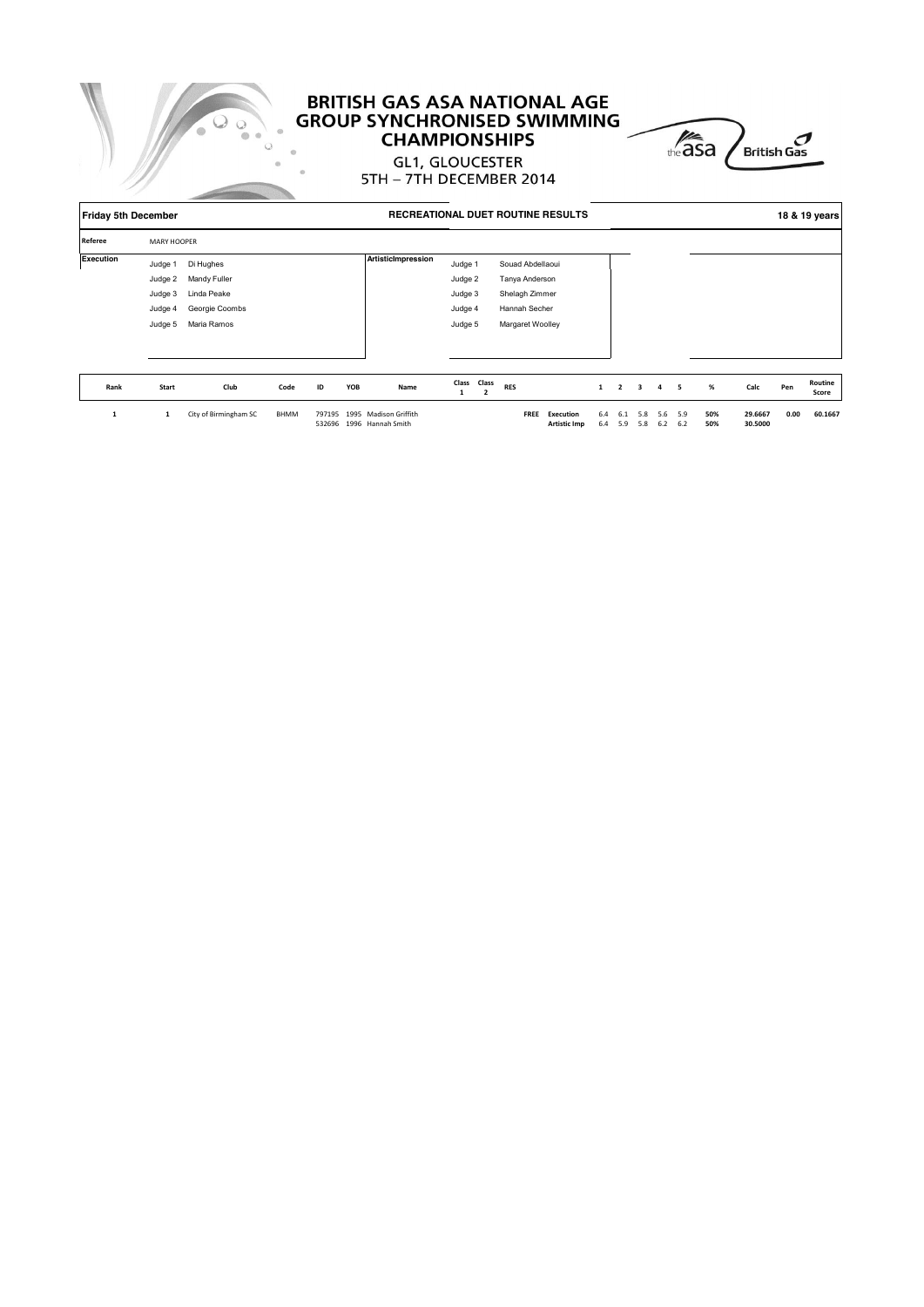

## **BRITISH GAS ASA NATIONAL AGE GROUP SYNCHRONISED SWIMMING CHAMPIONSHIPS**



**GL1, GLOUCESTER** 5TH - 7TH DECEMBER 2014

| <b>Friday 5th December</b> |                    |                |      |    | <b>RECREATIONAL DUET ROUTINE RESULTS</b> |                    |             |                  |              | 18 & 19 years  |                         |                |                          |   |      |     |                  |
|----------------------------|--------------------|----------------|------|----|------------------------------------------|--------------------|-------------|------------------|--------------|----------------|-------------------------|----------------|--------------------------|---|------|-----|------------------|
| Referee                    | <b>MARY HOOPER</b> |                |      |    |                                          |                    |             |                  |              |                |                         |                |                          |   |      |     |                  |
| Execution                  | Judge 1            | Di Hughes      |      |    |                                          | ArtisticImpression | Judge 1     | Souad Abdellaoui |              |                |                         |                |                          |   |      |     |                  |
|                            | Judge 2            | Mandy Fuller   |      |    |                                          |                    | Judge 2     | Tanya Anderson   |              |                |                         |                |                          |   |      |     |                  |
|                            | Judge 3            | Linda Peake    |      |    |                                          |                    | Judge 3     | Shelagh Zimmer   |              |                |                         |                |                          |   |      |     |                  |
|                            | Judge 4            | Georgie Coombs |      |    |                                          |                    | Judge 4     | Hannah Secher    |              |                |                         |                |                          |   |      |     |                  |
|                            | Judge 5            | Maria Ramos    |      |    |                                          |                    | Judge 5     | Margaret Woolley |              |                |                         |                |                          |   |      |     |                  |
|                            |                    |                |      |    |                                          |                    |             |                  |              |                |                         |                |                          |   |      |     |                  |
|                            |                    |                |      |    |                                          |                    |             |                  |              |                |                         |                |                          |   |      |     |                  |
| Rank                       | Start              | Club           | Code | ID | YOB                                      | Name               | Class Class | <b>RES</b>       | $\mathbf{1}$ | $\overline{2}$ | $\overline{\mathbf{3}}$ | $\overline{4}$ | $\overline{\phantom{0}}$ | % | Calc | Pen | Routine<br>Score |

**1 1** City of Birmingham SC BHMM 797195 1995 Madison Griffith **FREE Execution** 6.4 6.1 5.8 5.6 5.9 **50% 29.6667 0.00 60.1667** 532696 1996 Hannah Smith **Artistic Imp** 6.4 5.9 5.8 6.2 6.2 **50% 30.5000 60.1667**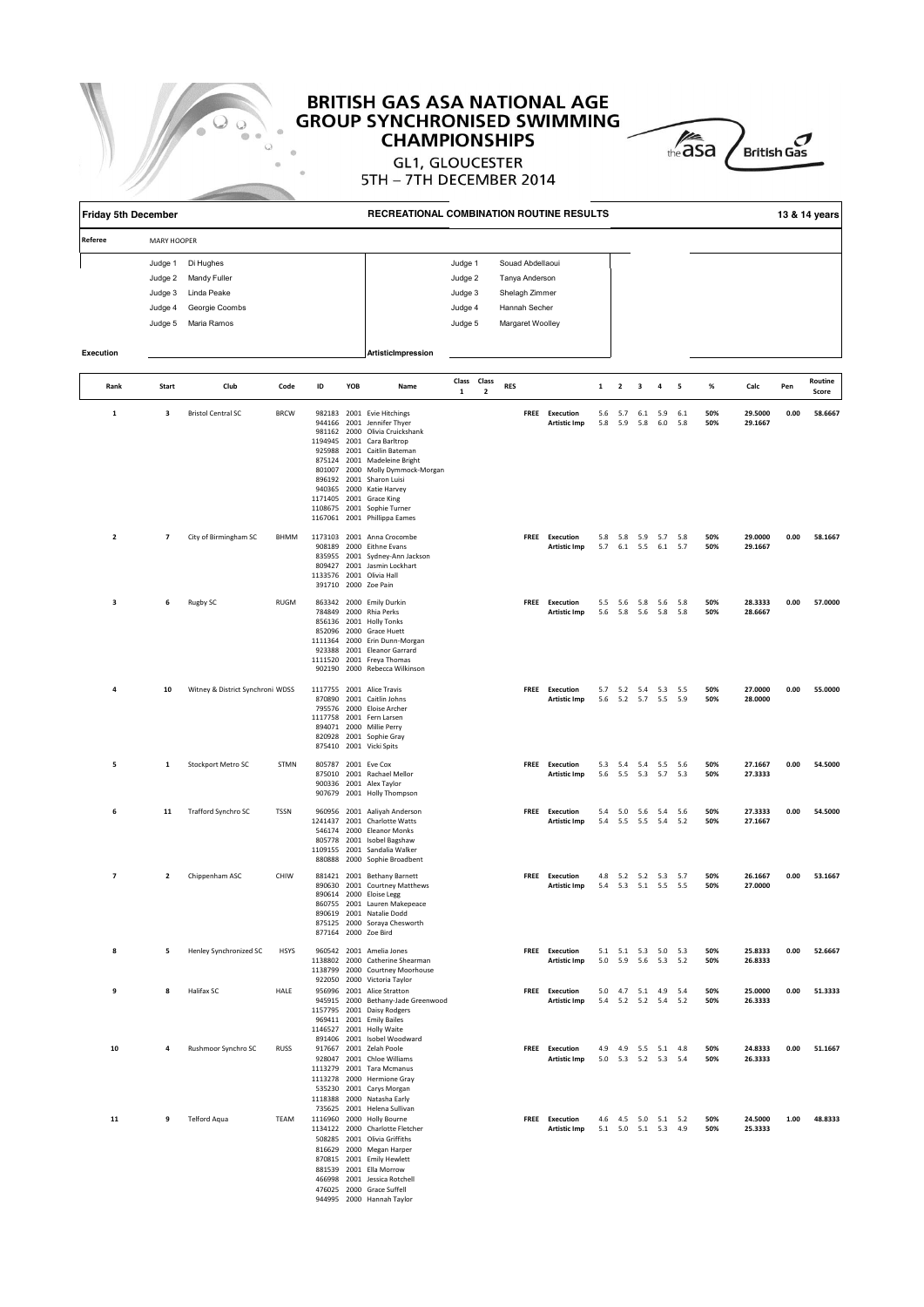



| <b>Friday 5th December</b> |                                          |                                                                                      |             |    |     | RECREATIONAL COMBINATION ROUTINE RESULTS                                                                                                                                                                                                                                                                                                                                     |                            |              |            |  |                                       |              |                                            |                                |                |            |            |                    |      | 13 & 14 years    |
|----------------------------|------------------------------------------|--------------------------------------------------------------------------------------|-------------|----|-----|------------------------------------------------------------------------------------------------------------------------------------------------------------------------------------------------------------------------------------------------------------------------------------------------------------------------------------------------------------------------------|----------------------------|--------------|------------|--|---------------------------------------|--------------|--------------------------------------------|--------------------------------|----------------|------------|------------|--------------------|------|------------------|
| Referee                    | MARY HOOPER                              |                                                                                      |             |    |     |                                                                                                                                                                                                                                                                                                                                                                              |                            |              |            |  |                                       |              |                                            |                                |                |            |            |                    |      |                  |
|                            | Judge 2<br>Judge 3<br>Judge 4<br>Judge 5 | Di Hughes<br>Judge 1<br>Mandy Fuller<br>Linda Peake<br>Georgie Coombs<br>Maria Ramos |             |    |     | Souad Abdellaoui<br>Judge 1<br>Judge 2<br>Tanya Anderson<br>Judge 3<br>Shelagh Zimmer<br>Hannah Secher<br>Judge 4<br>Judge 5<br>Margaret Woolley                                                                                                                                                                                                                             |                            |              |            |  |                                       |              |                                            |                                |                |            |            |                    |      |                  |
| <b>Execution</b>           |                                          |                                                                                      |             |    |     | ArtisticImpression                                                                                                                                                                                                                                                                                                                                                           |                            |              |            |  |                                       |              |                                            |                                |                |            |            |                    |      |                  |
| Rank                       | Start                                    | Club                                                                                 | Code        | ID | YOB | Name                                                                                                                                                                                                                                                                                                                                                                         | Class Class<br>$\mathbf 1$ | $\mathbf{2}$ | <b>RES</b> |  |                                       | $\mathbf{1}$ | $\overline{\mathbf{2}}$                    | 3                              | 4              | 5          | %          | Calc               | Pen  | Routine<br>Score |
| $\mathbf 1$                | 3                                        | <b>Bristol Central SC</b>                                                            | <b>BRCW</b> |    |     | 982183 2001 Evie Hitchings<br>944166 2001 Jennifer Thyer<br>981162 2000 Olivia Cruickshank<br>1194945 2001 Cara Barltrop<br>925988 2001 Caitlin Bateman<br>875124 2001 Madeleine Bright<br>801007 2000 Molly Dymmock-Morgan<br>896192 2001 Sharon Luisi<br>940365 2000 Katie Harvey<br>1171405 2001 Grace King<br>1108675 2001 Sophie Turner<br>1167061 2001 Phillippa Eames |                            |              |            |  | FREE Execution<br><b>Artistic Imp</b> | 5.6<br>5.8   | 5.7<br>5.9                                 | 5.8                            | 6.1 5.9<br>6.0 | 6.1<br>5.8 | 50%<br>50% | 29.5000<br>29.1667 | 0.00 | 58.6667          |
| $\overline{\mathbf{2}}$    | $\overline{\phantom{a}}$                 | City of Birmingham SC                                                                | BHMM        |    |     | 1173103 2001 Anna Crocombe<br>908189 2000 Eithne Evans<br>835955 2001 Sydney-Ann Jackson<br>809427 2001 Jasmin Lockhart<br>1133576 2001 Olivia Hall<br>391710 2000 Zoe Pain                                                                                                                                                                                                  |                            |              |            |  | FREE Execution<br><b>Artistic Imp</b> |              | 5.8 5.8 5.9 5.7<br>5.7 6.1 5.5             |                                | 6.1            | 5.8<br>5.7 | 50%<br>50% | 29.0000<br>29.1667 | 0.00 | 58.1667          |
| 3                          | 6                                        | Rugby SC                                                                             | <b>RUGM</b> |    |     | 863342 2000 Emily Durkin<br>784849 2000 Rhia Perks<br>856136 2001 Holly Tonks<br>852096 2000 Grace Huett<br>1111364 2000 Erin Dunn-Morgan<br>923388 2001 Eleanor Garrard<br>1111520 2001 Freya Thomas<br>902190 2000 Rebecca Wilkinson                                                                                                                                       |                            |              |            |  | FREE Execution<br><b>Artistic Imp</b> | 5.6          | 5.5 5.6 5.8 5.6 5.8                        | 5.8 5.6 5.8                    |                | 5.8        | 50%<br>50% | 28.3333<br>28.6667 | 0.00 | 57.0000          |
| 4                          | 10                                       | Witney & District Synchroni WDSS                                                     |             |    |     | 1117755 2001 Alice Travis<br>870890 2001 Caitlin Johns<br>795576 2000 Eloise Archer<br>1117758 2001 Fern Larsen<br>894071 2000 Millie Perry<br>820928 2001 Sophie Gray<br>875410 2001 Vicki Spits                                                                                                                                                                            |                            |              |            |  | FREE Execution<br><b>Artistic Imp</b> |              | 5.7 5.2 5.4 5.3 5.5<br>5.6 5.2 5.7 5.5     |                                |                | 5.9        | 50%<br>50% | 27.0000<br>28.0000 | 0.00 | 55.0000          |
| 5                          | 1                                        | Stockport Metro SC                                                                   | STMN        |    |     | 805787 2001 Eve Cox<br>875010 2001 Rachael Mellor<br>900336 2001 Alex Taylor<br>907679 2001 Holly Thompson                                                                                                                                                                                                                                                                   |                            |              |            |  | FREE Execution<br><b>Artistic Imp</b> | 5.3<br>5.6   |                                            | 5.4 5.4 5.5 5.6<br>5.5 5.3 5.7 |                | 5.3        | 50%<br>50% | 27.1667<br>27.3333 | 0.00 | 54.5000          |
| 6                          | 11                                       | Trafford Synchro SC                                                                  | TSSN        |    |     | 960956 2001 Aaliyah Anderson<br>1241437 2001 Charlotte Watts<br>546174 2000 Eleanor Monks<br>805778 2001 Isobel Bagshaw<br>1109155 2001 Sandalia Walker<br>880888 2000 Sophie Broadbent                                                                                                                                                                                      |                            |              |            |  | FREE Execution<br><b>Artistic Imp</b> | 5.4<br>5.4   |                                            | 5.0 5.6 5.4 5.6<br>5.5 5.5 5.4 |                | 5.2        | 50%<br>50% | 27.3333<br>27.1667 | 0.00 | 54.5000          |
| $\overline{\phantom{a}}$   | $\overline{2}$                           | Chippenham ASC                                                                       | CHIW        |    |     | 881421 2001 Bethany Barnett<br>890630 2001 Courtney Matthews<br>890614 2000 Eloise Legg<br>860755 2001 Lauren Makepeace<br>890619 2001 Natalie Dodd<br>875125 2000 Soraya Chesworth<br>877164 2000 Zoe Bird                                                                                                                                                                  |                            |              |            |  | FREE Execution<br><b>Artistic Imp</b> |              | 4.8 5.2 5.2 5.3 5.7<br>5.4 5.3 5.1 5.5 5.5 |                                |                |            | 50%<br>50% | 26.1667<br>27.0000 | 0.00 | 53.1667          |
| 8                          | 5                                        | Henley Synchronized SC                                                               | <b>HSYS</b> |    |     | 960542 2001 Amelia Jones<br>1138802 2000 Catherine Shearman<br>1138799 2000 Courtney Moorhouse<br>922050 2000 Victoria Taylor                                                                                                                                                                                                                                                |                            |              |            |  | FREE Execution<br><b>Artistic Imp</b> |              | 5.1 5.1 5.3 5.0 5.3<br>5.0 5.9 5.6 5.3 5.2 |                                |                |            | 50%<br>50% | 25.8333<br>26.8333 | 0.00 | 52.6667          |
| 9                          | 8                                        | Halifax SC                                                                           | HALE        |    |     | 956996 2001 Alice Stratton<br>945915 2000 Bethany-Jade Greenwood<br>1157795 2001 Daisy Rodgers<br>969411 2001 Emily Bailes<br>1146527 2001 Holly Waite<br>891406 2001 Isobel Woodward                                                                                                                                                                                        |                            |              |            |  | FREE Execution<br><b>Artistic Imp</b> |              | 5.0 4.7 5.1 4.9 5.4<br>5.4 5.2 5.2 5.4 5.2 |                                |                |            | 50%<br>50% | 25.0000<br>26.3333 | 0.00 | 51.3333          |
| 10                         | 4                                        | Rushmoor Synchro SC                                                                  | <b>RUSS</b> |    |     | 917667 2001 Zelah Poole<br>928047 2001 Chloe Williams<br>1113279 2001 Tara Mcmanus<br>1113278 2000 Hermione Gray<br>535230 2001 Carys Morgan<br>1118388 2000 Natasha Early<br>735625 2001 Helena Sullivan                                                                                                                                                                    |                            |              |            |  | FREE Execution<br><b>Artistic Imp</b> |              | 4.9 4.9 5.5 5.1 4.8<br>5.0 5.3 5.2 5.3 5.4 |                                |                |            | 50%<br>50% | 24.8333<br>26.3333 | 0.00 | 51.1667          |
| 11                         | 9                                        | Telford Aqua                                                                         | TEAM        |    |     | 1116960 2000 Holly Bourne<br>1134122 2000 Charlotte Fletcher<br>508285 2001 Olivia Griffiths<br>816629 2000 Megan Harper<br>870815 2001 Emily Hewlett<br>881539 2001 Ella Morrow<br>466998 2001 Jessica Rotchell<br>476025 2000 Grace Suffell<br>944995 2000 Hannah Taylor                                                                                                   |                            |              |            |  | FREE Execution<br><b>Artistic Imp</b> |              | 4.6 4.5 5.0 5.1 5.2<br>5.1 5.0 5.1 5.3     |                                |                | 4.9        | 50%<br>50% | 24.5000<br>25.3333 | 1.00 | 48.8333          |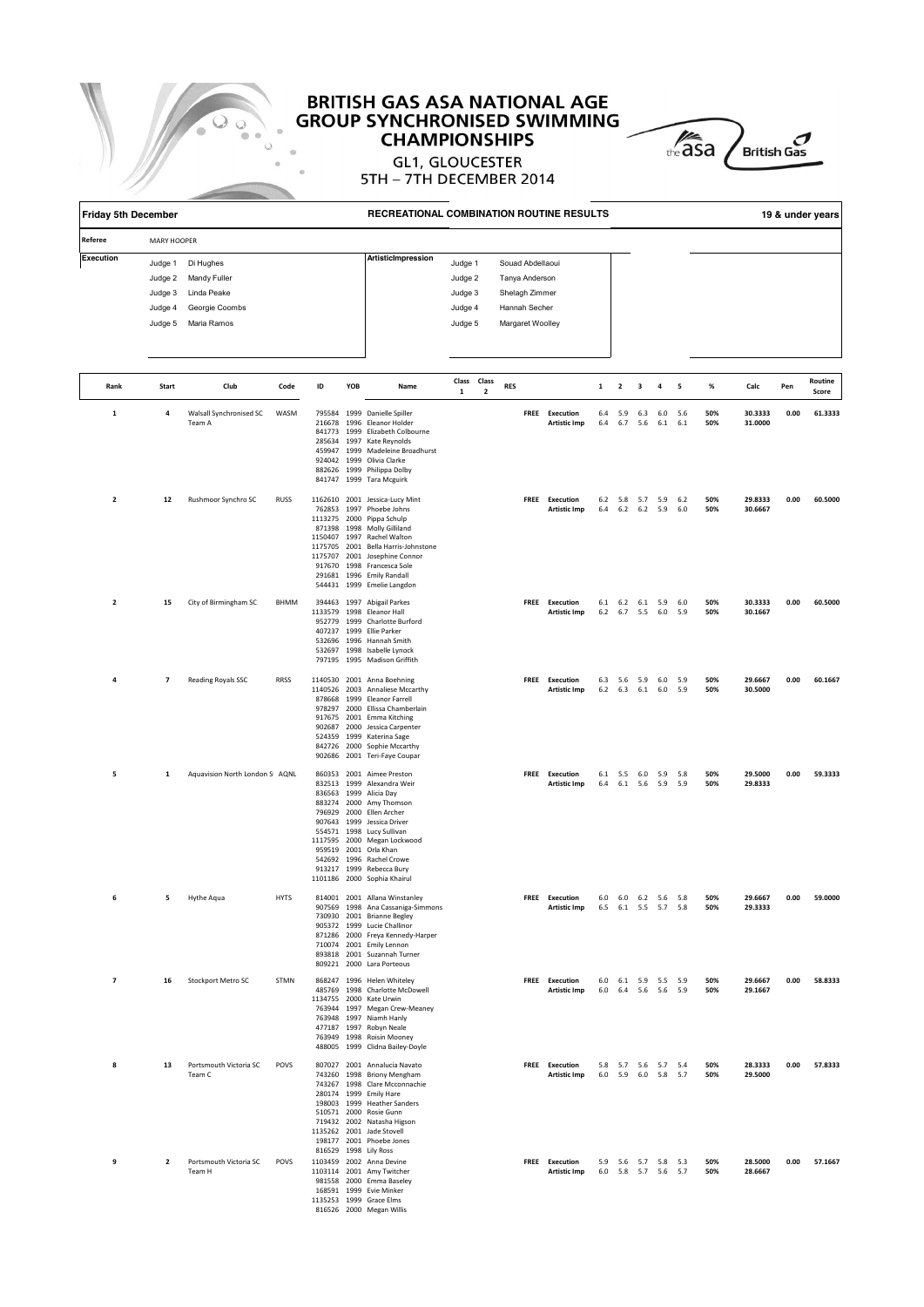

# **BRITISH GAS ASA NATIONAL AGE<br>GROUP SYNCHRONISED SWIMMING CHAMPIONSHIPS**



| <b>Friday 5th December</b> |                                                     |                                                                           |                                                                                                                                                                                              |    |     | RECREATIONAL COMBINATION ROUTINE RESULTS                                                                                                                                                                                                                                                                                                           |              |                         |            |  |                                       |             |                         |                                            |                                            |            |            |                    |      | 19 & under years |
|----------------------------|-----------------------------------------------------|---------------------------------------------------------------------------|----------------------------------------------------------------------------------------------------------------------------------------------------------------------------------------------|----|-----|----------------------------------------------------------------------------------------------------------------------------------------------------------------------------------------------------------------------------------------------------------------------------------------------------------------------------------------------------|--------------|-------------------------|------------|--|---------------------------------------|-------------|-------------------------|--------------------------------------------|--------------------------------------------|------------|------------|--------------------|------|------------------|
| Referee                    | <b>MARY HOOPER</b>                                  |                                                                           |                                                                                                                                                                                              |    |     |                                                                                                                                                                                                                                                                                                                                                    |              |                         |            |  |                                       |             |                         |                                            |                                            |            |            |                    |      |                  |
| Execution                  | Judge 1<br>Judge 2<br>Judge 3<br>Judge 4<br>Judge 5 | Di Hughes<br>Mandy Fuller<br>Linda Peake<br>Georgie Coombs<br>Maria Ramos | <b>ArtisticImpression</b><br>Souad Abdellaoui<br>Judge 1<br>Judge 2<br>Tanya Anderson<br>Judge 3<br>Shelagh Zimmer<br>Hannah Secher<br>Judge 4<br>Judge 5<br>Margaret Woolley<br>Class Class |    |     |                                                                                                                                                                                                                                                                                                                                                    |              |                         |            |  |                                       |             |                         |                                            |                                            |            |            |                    |      |                  |
| Rank                       | Start                                               | Club                                                                      | Code                                                                                                                                                                                         | ID | YOB | Name                                                                                                                                                                                                                                                                                                                                               | $\mathbf{1}$ | $\overline{\mathbf{2}}$ | <b>RES</b> |  |                                       | $\mathbf 1$ | $\overline{\mathbf{2}}$ | 3                                          | $\overline{a}$                             | 5          | %          | Calc               | Pen  | Routine<br>Score |
| 1                          | 4                                                   | Walsall Synchronised SC<br>Team A                                         | WASM                                                                                                                                                                                         |    |     | 795584 1999 Danielle Spiller<br>216678 1996 Eleanor Holder<br>841773 1999 Elizabeth Colbourne<br>285634 1997 Kate Reynolds<br>459947 1999 Madeleine Broadhurst<br>924042 1999 Olivia Clarke<br>882626 1999 Philippa Dolby<br>841747 1999 Tara Mcguirk                                                                                              |              |                         |            |  | FREE Execution<br><b>Artistic Imp</b> | 6.4<br>6.4  | 5.9<br>6.7              | 5.6                                        | $6.3\qquad 6.0$<br>$6.1\quad 6.1$          | 5.6        | 50%<br>50% | 30.3333<br>31.0000 | 0.00 | 61.3333          |
| 2                          | 12                                                  | Rushmoor Synchro SC                                                       | <b>RUSS</b>                                                                                                                                                                                  |    |     | 1162610 2001 Jessica-Lucy Mint<br>762853 1997 Phoebe Johns<br>1113275 2000 Pippa Schulp<br>871398 1998 Molly Gilliland<br>1150407 1997 Rachel Walton<br>1175705 2001 Bella Harris-Johnstone<br>1175707 2001 Josephine Connor<br>917670 1998 Francesca Sole<br>291681 1996 Emily Randall<br>544431 1999 Emelie Langdon                              |              |                         |            |  | FREE Execution<br><b>Artistic Imp</b> |             |                         | 6.4 6.2 6.2 5.9                            | 6.2 5.8 5.7 5.9 6.2                        | 6.0        | 50%<br>50% | 29.8333<br>30.6667 | 0.00 | 60.5000          |
| $\mathbf 2$                | 15                                                  | City of Birmingham SC                                                     | BHMM                                                                                                                                                                                         |    |     | 394463 1997 Abigail Parkes<br>1133579 1998 Eleanor Hall<br>952779 1999 Charlotte Burford<br>407237 1999 Ellie Parker<br>532696 1996 Hannah Smith<br>532697 1998 Isabelle Lynock<br>797195 1995 Madison Griffith                                                                                                                                    |              |                         |            |  | FREE Execution<br><b>Artistic Imp</b> |             | $6.2$ $6.7$ $5.5$       | 6.1 6.2 6.1 5.9                            | 6.0                                        | 6.0<br>5.9 | 50%<br>50% | 30.3333<br>30.1667 | 0.00 | 60.5000          |
| 4                          | $\overline{7}$                                      | Reading Royals SSC                                                        | <b>RRSS</b>                                                                                                                                                                                  |    |     | 1140530 2001 Anna Boehning<br>1140526 2003 Annaliese Mccarthy<br>878668 1999 Eleanor Farrell<br>978297 2000 Ellissa Chamberlain<br>917675 2001 Emma Kitching<br>902687 2000 Jessica Carpenter<br>524359 1999 Katerina Sage<br>842726 2000 Sophie Mccarthy<br>902686 2001 Teri-Faye Coupar                                                          |              |                         |            |  | FREE Execution<br><b>Artistic Imp</b> |             |                         | 6.3 5.6 5.9 6.0<br>$6.2$ $6.3$ $6.1$ $6.0$ |                                            | 5.9<br>5.9 | 50%<br>50% | 29.6667<br>30.5000 | 0.00 | 60.1667          |
| 5                          | 1                                                   | Aquavision North London S <sub>1</sub> AQNL                               |                                                                                                                                                                                              |    |     | 860353 2001 Aimee Preston<br>832513 1999 Alexandra Weir<br>836563 1999 Alicia Day<br>883274 2000 Amy Thomson<br>796929 2000 Ellen Archer<br>907643 1999 Jessica Driver<br>554571 1998 Lucy Sullivan<br>1117595 2000 Megan Lockwood<br>959519 2001 Orla Khan<br>542692 1996 Rachel Crowe<br>913217 1999 Rebecca Bury<br>1101186 2000 Sophia Khairul |              |                         |            |  | FREE Execution<br><b>Artistic Imp</b> | 6.1<br>6.4  |                         | 5.5 6.0 5.9<br>6.1 5.6 5.9                 |                                            | 5.8<br>5.9 | 50%<br>50% | 29.5000<br>29.8333 | 0.00 | 59.3333          |
| 6                          | 5                                                   | Hythe Aqua                                                                | <b>HYTS</b>                                                                                                                                                                                  |    |     | 814001 2001 Allana Winstanley<br>907569 1998 Ana Cassaniga-Simmons<br>730930 2001 Brianne Begley<br>905372 1999 Lucie Challinor<br>871286 2000 Freya Kennedy-Harper<br>710074 2001 Emily Lennon<br>893818 2001 Suzannah Turner<br>809221 2000 Lara Porteous                                                                                        |              |                         |            |  | FREE Execution<br><b>Artistic Imp</b> |             |                         |                                            | 6.0 6.0 6.2 5.6 5.8<br>6.5 6.1 5.5 5.7 5.8 |            | 50%<br>50% | 29.6667<br>29.3333 | 0.00 | 59.0000          |
| $\overline{\mathbf{z}}$    | 16                                                  | Stockport Metro SC                                                        | STMN                                                                                                                                                                                         |    |     | 868247 1996 Helen Whiteley<br>485769 1998 Charlotte McDowell<br>1134755 2000 Kate Urwin<br>763944 1997 Megan Crew-Meaney<br>763948 1997 Niamh Hanly<br>477187 1997 Robyn Neale<br>763949 1998 Roisin Mooney<br>488005 1999 Clidna Bailey-Doyle                                                                                                     |              |                         |            |  | FREE Execution<br><b>Artistic Imp</b> |             |                         |                                            | 6.0 6.1 5.9 5.5 5.9<br>6.0 6.4 5.6 5.6 5.9 |            | 50%<br>50% | 29.6667<br>29.1667 | 0.00 | 58.8333          |
| 8                          | 13                                                  | Portsmouth Victoria SC<br>Team C                                          | POVS                                                                                                                                                                                         |    |     | 807027 2001 Annalucia Navato<br>743260 1998 Briony Mengham<br>743267 1998 Clare Mcconnachie<br>280174 1999 Emily Hare<br>198003 1999 Heather Sanders<br>510571 2000 Rosie Gunn<br>719432 2002 Natasha Higson<br>1135262 2001 Jade Stovell<br>198177 2001 Phoebe Jones<br>816529 1998 Lily Ross                                                     |              |                         |            |  | FREE Execution<br><b>Artistic Imp</b> |             |                         |                                            | 5.8 5.7 5.6 5.7 5.4<br>6.0 5.9 6.0 5.8 5.7 |            | 50%<br>50% | 28.3333<br>29.5000 | 0.00 | 57.8333          |
| 9                          | $\overline{\mathbf{2}}$                             | Portsmouth Victoria SC<br>Team H                                          | POVS                                                                                                                                                                                         |    |     | 1103459 2002 Anna Devine<br>1103114 2001 Amy Twitcher<br>981558 2000 Emma Baseley<br>168591 1999 Evie Minker<br>1135253 1999 Grace Elms<br>816526 2000 Megan Willis                                                                                                                                                                                |              |                         |            |  | FREE Execution<br><b>Artistic Imp</b> |             |                         |                                            | 5.9 5.6 5.7 5.8 5.3<br>6.0 5.8 5.7 5.6 5.7 |            | 50%<br>50% | 28.5000<br>28.6667 | 0.00 | 57.1667          |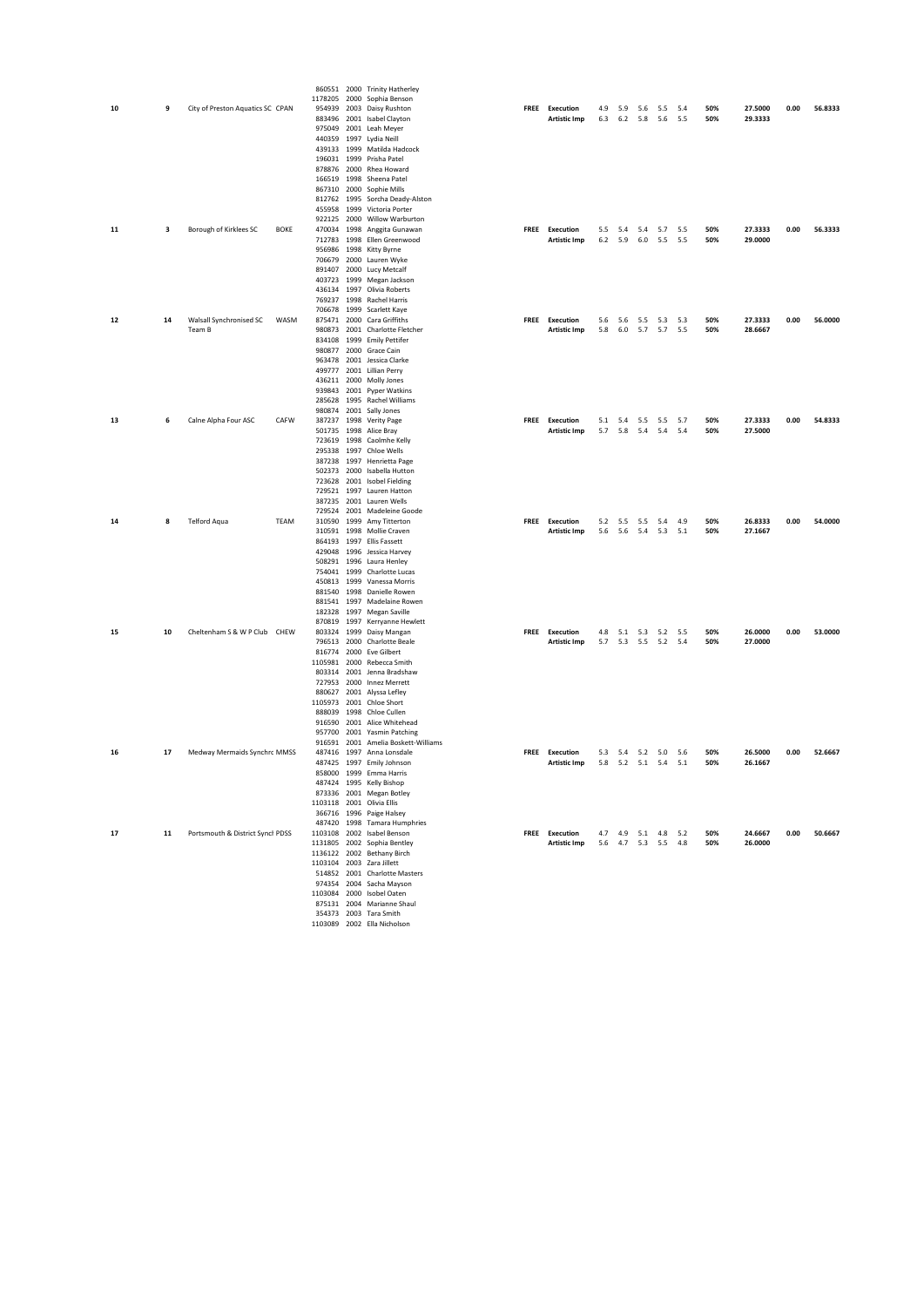|    |    |                                  |             |             | 860551 2000 Trinity Hatherley                              |             |                     |           |             |     |                     |     |            |         |      |         |
|----|----|----------------------------------|-------------|-------------|------------------------------------------------------------|-------------|---------------------|-----------|-------------|-----|---------------------|-----|------------|---------|------|---------|
|    |    |                                  |             | 1178205     | 2000 Sophia Benson                                         |             |                     |           |             |     |                     |     |            |         |      |         |
| 10 | 9  | City of Preston Aquatics SC CPAN |             | 954939      | 2003 Daisy Rushton                                         |             | FREE Execution      | 4.9       | 5.9         | 5.6 | 5.5                 | 5.4 | 50%<br>50% | 27.5000 | 0.00 | 56.8333 |
|    |    |                                  |             |             | 883496 2001 Isabel Clayton<br>975049 2001 Leah Meyer       |             | <b>Artistic Imp</b> | 6.3       | 6.2         | 5.8 | 5.6                 | 5.5 |            | 29.3333 |      |         |
|    |    |                                  |             |             | 440359 1997 Lydia Neill                                    |             |                     |           |             |     |                     |     |            |         |      |         |
|    |    |                                  |             |             | 439133 1999 Matilda Hadcock                                |             |                     |           |             |     |                     |     |            |         |      |         |
|    |    |                                  |             |             | 196031 1999 Prisha Patel                                   |             |                     |           |             |     |                     |     |            |         |      |         |
|    |    |                                  |             |             | 878876 2000 Rhea Howard                                    |             |                     |           |             |     |                     |     |            |         |      |         |
|    |    |                                  |             |             | 166519 1998 Sheena Patel<br>867310 2000 Sophie Mills       |             |                     |           |             |     |                     |     |            |         |      |         |
|    |    |                                  |             |             | 812762 1995 Sorcha Deady-Alston                            |             |                     |           |             |     |                     |     |            |         |      |         |
|    |    |                                  |             |             | 455958 1999 Victoria Porter                                |             |                     |           |             |     |                     |     |            |         |      |         |
|    |    |                                  |             |             | 922125 2000 Willow Warburton                               |             |                     |           |             |     |                     |     |            |         |      |         |
| 11 | 3  | Borough of Kirklees SC           | <b>BOKE</b> |             | 470034 1998 Anggita Gunawan                                |             | FREE Execution      | 5.5       | 5.4         | 5.4 | 5.7 5.5             |     | 50%        | 27.3333 | 0.00 | 56.3333 |
|    |    |                                  |             | 712783 1998 | Ellen Greenwood                                            |             | <b>Artistic Imp</b> | $6.2$ 5.9 |             | 6.0 | 5.5                 | 5.5 | 50%        | 29.0000 |      |         |
|    |    |                                  |             | 956986 1998 | Kitty Byrne                                                |             |                     |           |             |     |                     |     |            |         |      |         |
|    |    |                                  |             |             | 706679 2000 Lauren Wyke<br>891407 2000 Lucy Metcalf        |             |                     |           |             |     |                     |     |            |         |      |         |
|    |    |                                  |             |             | 403723 1999 Megan Jackson                                  |             |                     |           |             |     |                     |     |            |         |      |         |
|    |    |                                  |             |             | 436134 1997 Olivia Roberts                                 |             |                     |           |             |     |                     |     |            |         |      |         |
|    |    |                                  |             |             | 769237 1998 Rachel Harris                                  |             |                     |           |             |     |                     |     |            |         |      |         |
|    |    |                                  |             |             | 706678 1999 Scarlett Kaye                                  |             |                     |           |             |     |                     |     |            |         |      |         |
| 12 | 14 | Walsall Synchronised SC          | WASM        |             | 875471 2000 Cara Griffiths                                 |             | FREE Execution      |           |             |     | 5.6 5.6 5.5 5.3     | 5.3 | 50%        | 27.3333 | 0.00 | 56.0000 |
|    |    | Team B                           |             |             | 980873 2001 Charlotte Fletcher                             |             | <b>Artistic Imp</b> |           |             |     | 5.8 6.0 5.7 5.7 5.5 |     | 50%        | 28.6667 |      |         |
|    |    |                                  |             |             | 834108 1999 Emily Pettifer<br>980877 2000 Grace Cain       |             |                     |           |             |     |                     |     |            |         |      |         |
|    |    |                                  |             |             | 963478 2001 Jessica Clarke                                 |             |                     |           |             |     |                     |     |            |         |      |         |
|    |    |                                  |             |             | 499777 2001 Lillian Perry                                  |             |                     |           |             |     |                     |     |            |         |      |         |
|    |    |                                  |             |             | 436211 2000 Molly Jones                                    |             |                     |           |             |     |                     |     |            |         |      |         |
|    |    |                                  |             |             | 939843 2001 Pyper Watkins                                  |             |                     |           |             |     |                     |     |            |         |      |         |
|    |    |                                  |             |             | 285628 1995 Rachel Williams                                |             |                     |           |             |     |                     |     |            |         |      |         |
| 13 | 6  |                                  | CAFW        |             | 980874 2001 Sally Jones                                    |             | FREE Execution      |           | 5.1 5.4     | 5.5 | 5.5                 | 5.7 | 50%        | 27.3333 | 0.00 | 54.8333 |
|    |    | Calne Alpha Four ASC             |             | 501735 1998 | 387237 1998 Verity Page<br>Alice Bray                      |             | <b>Artistic Imp</b> |           | 5.7 5.8 5.4 |     | 5.4 5.4             |     | 50%        | 27.5000 |      |         |
|    |    |                                  |             | 723619 1998 | Caolmhe Kelly                                              |             |                     |           |             |     |                     |     |            |         |      |         |
|    |    |                                  |             |             | 295338 1997 Chloe Wells                                    |             |                     |           |             |     |                     |     |            |         |      |         |
|    |    |                                  |             |             | 387238 1997 Henrietta Page                                 |             |                     |           |             |     |                     |     |            |         |      |         |
|    |    |                                  |             |             | 502373 2000 Isabella Hutton                                |             |                     |           |             |     |                     |     |            |         |      |         |
|    |    |                                  |             |             | 723628 2001 Isobel Fielding                                |             |                     |           |             |     |                     |     |            |         |      |         |
|    |    |                                  |             |             | 729521 1997 Lauren Hatton<br>387235 2001 Lauren Wells      |             |                     |           |             |     |                     |     |            |         |      |         |
|    |    |                                  |             |             | 729524 2001 Madeleine Goode                                |             |                     |           |             |     |                     |     |            |         |      |         |
| 14 | 8  | Telford Aqua                     | TEAM        |             | 310590 1999 Amy Titterton                                  |             | FREE Execution      |           | 5.2 5.5 5.5 |     | 5.4                 | 4.9 | 50%        | 26.8333 | 0.00 | 54.0000 |
|    |    |                                  |             |             | 310591 1998 Mollie Craven                                  |             | <b>Artistic Imp</b> | 5.6       | 5.6 5.4     |     | 5.3                 | 5.1 | 50%        | 27.1667 |      |         |
|    |    |                                  |             |             | 864193 1997 Ellis Fassett                                  |             |                     |           |             |     |                     |     |            |         |      |         |
|    |    |                                  |             |             | 429048 1996 Jessica Harvey                                 |             |                     |           |             |     |                     |     |            |         |      |         |
|    |    |                                  |             |             | 508291 1996 Laura Henley                                   |             |                     |           |             |     |                     |     |            |         |      |         |
|    |    |                                  |             |             | 754041 1999 Charlotte Lucas<br>450813 1999 Vanessa Morris  |             |                     |           |             |     |                     |     |            |         |      |         |
|    |    |                                  |             |             | 881540 1998 Danielle Rowen                                 |             |                     |           |             |     |                     |     |            |         |      |         |
|    |    |                                  |             |             | 881541 1997 Madelaine Rowen                                |             |                     |           |             |     |                     |     |            |         |      |         |
|    |    |                                  |             |             | 182328 1997 Megan Saville                                  |             |                     |           |             |     |                     |     |            |         |      |         |
|    |    |                                  |             | 870819 1997 | Kerryanne Hewlett                                          |             |                     |           |             |     |                     |     |            |         |      |         |
| 15 | 10 | Cheltenham S & W P Club CHEW     |             | 803324 1999 | Daisy Mangan                                               |             | FREE Execution      | 4.8       | 5.1         | 5.3 | 5.2                 | 5.5 | 50%        | 26.0000 | 0.00 | 53.0000 |
|    |    |                                  |             |             | 796513 2000 Charlotte Beale<br>816774 2000 Eve Gilbert     |             | <b>Artistic Imp</b> |           |             |     | 5.7 5.3 5.5 5.2 5.4 |     | 50%        | 27.0000 |      |         |
|    |    |                                  |             |             | 1105981 2000 Rebecca Smith                                 |             |                     |           |             |     |                     |     |            |         |      |         |
|    |    |                                  |             |             | 803314 2001 Jenna Bradshaw                                 |             |                     |           |             |     |                     |     |            |         |      |         |
|    |    |                                  |             |             | 727953 2000 Innez Merrett                                  |             |                     |           |             |     |                     |     |            |         |      |         |
|    |    |                                  |             |             | 880627 2001 Alyssa Lefley                                  |             |                     |           |             |     |                     |     |            |         |      |         |
|    |    |                                  |             |             | 1105973 2001 Chloe Short                                   |             |                     |           |             |     |                     |     |            |         |      |         |
|    |    |                                  |             |             | 888039 1998 Chloe Cullen                                   |             |                     |           |             |     |                     |     |            |         |      |         |
|    |    |                                  |             |             | 916590 2001 Alice Whitehead<br>957700 2001 Yasmin Patching |             |                     |           |             |     |                     |     |            |         |      |         |
|    |    |                                  |             |             | 916591 2001 Amelia Boskett-Williams                        |             |                     |           |             |     |                     |     |            |         |      |         |
| 16 | 17 | Medway Mermaids Synchrc MMSS     |             | 487416      | 1997 Anna Lonsdale                                         | <b>FREE</b> | <b>Execution</b>    | 5.3       | 5.4         | 5.2 | 5.0                 | 5.6 | 50%        | 26.5000 | 0.00 | 52.6667 |
|    |    |                                  |             |             | 487425 1997 Emily Johnson                                  |             | <b>Artistic Imp</b> | 5.8       | 5.2 5.1 5.4 |     |                     | 5.1 | 50%        | 26.1667 |      |         |
|    |    |                                  |             |             | 858000 1999 Emma Harris                                    |             |                     |           |             |     |                     |     |            |         |      |         |
|    |    |                                  |             |             | 487424 1995 Kelly Bishop                                   |             |                     |           |             |     |                     |     |            |         |      |         |
|    |    |                                  |             |             | 873336 2001 Megan Botley<br>1103118 2001 Olivia Ellis      |             |                     |           |             |     |                     |     |            |         |      |         |
|    |    |                                  |             |             | 366716 1996 Paige Halsey                                   |             |                     |           |             |     |                     |     |            |         |      |         |
|    |    |                                  |             |             | 487420 1998 Tamara Humphries                               |             |                     |           |             |     |                     |     |            |         |      |         |
| 17 | 11 | Portsmouth & District Synch PDSS |             |             | 1103108 2002 Isabel Benson                                 |             | FREE Execution      |           |             |     | 4.7 4.9 5.1 4.8 5.2 |     | 50%        | 24.6667 | 0.00 | 50.6667 |
|    |    |                                  |             |             | 1131805 2002 Sophia Bentley                                |             | <b>Artistic Imp</b> |           |             |     | 5.6 4.7 5.3 5.5 4.8 |     | 50%        | 26.0000 |      |         |
|    |    |                                  |             |             | 1136122 2002 Bethany Birch                                 |             |                     |           |             |     |                     |     |            |         |      |         |
|    |    |                                  |             |             | 1103104 2003 Zara Jillett                                  |             |                     |           |             |     |                     |     |            |         |      |         |
|    |    |                                  |             |             | 514852 2001 Charlotte Masters<br>974354 2004 Sacha Mayson  |             |                     |           |             |     |                     |     |            |         |      |         |
|    |    |                                  |             |             | 1103084 2000 Isobel Oaten                                  |             |                     |           |             |     |                     |     |            |         |      |         |
|    |    |                                  |             |             |                                                            |             |                     |           |             |     |                     |     |            |         |      |         |

875131 2004 Marianne Shaul **50.6667** 354373 2003 Tara Smith **50.6667** 2002 Ella Nicholson **50.6667**